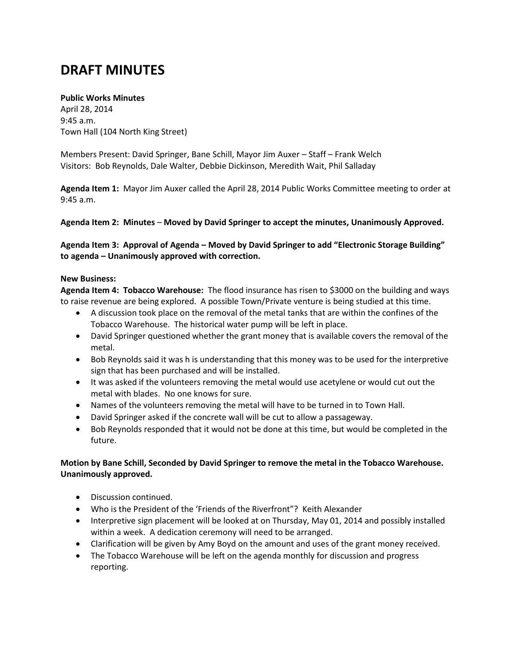# **DRAFT MINUTES**

### **Public Works Minutes**

April 28, 2014 9:45 a.m. Town Hall (104 North King Street)

Members Present: David Springer, Bane Schill, Mayor Jim Auxer – Staff – Frank Welch Visitors: Bob Reynolds, Dale Walter, Debbie Dickinson, Meredith Wait, Phil Salladay

**Agenda Item 1:** Mayor Jim Auxer called the April 28, 2014 Public Works Committee meeting to order at 9:45 a.m.

**Agenda Item 2: Minutes** – **Moved by David Springer to accept the minutes, Unanimously Approved.**

**Agenda Item 3: Approval of Agenda – Moved by David Springer to add "Electronic Storage Building" to agenda – Unanimously approved with correction.**

#### **New Business:**

**Agenda Item 4: Tobacco Warehouse:** The flood insurance has risen to \$3000 on the building and ways to raise revenue are being explored. A possible Town/Private venture is being studied at this time.

- A discussion took place on the removal of the metal tanks that are within the confines of the Tobacco Warehouse. The historical water pump will be left in place.
- David Springer questioned whether the grant money that is available covers the removal of the metal.
- Bob Reynolds said it was h is understanding that this money was to be used for the interpretive sign that has been purchased and will be installed.
- It was asked if the volunteers removing the metal would use acetylene or would cut out the metal with blades. No one knows for sure.
- Names of the volunteers removing the metal will have to be turned in to Town Hall.
- David Springer asked if the concrete wall will be cut to allow a passageway.
- Bob Reynolds responded that it would not be done at this time, but would be completed in the future.

## **Motion by Bane Schill, Seconded by David Springer to remove the metal in the Tobacco Warehouse. Unanimously approved.**

- Discussion continued.
- Who is the President of the 'Friends of the Riverfront"? Keith Alexander
- Interpretive sign placement will be looked at on Thursday, May 01, 2014 and possibly installed within a week. A dedication ceremony will need to be arranged.
- Clarification will be given by Amy Boyd on the amount and uses of the grant money received.
- The Tobacco Warehouse will be left on the agenda monthly for discussion and progress reporting.